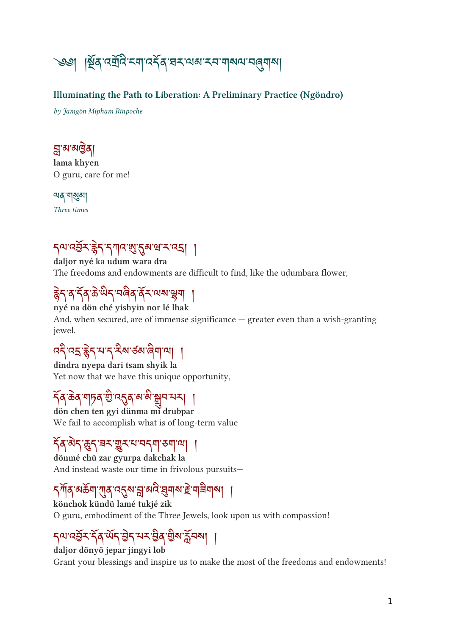

#### Illuminating the Path to Liberation: A Preliminary Practice (Ngöndro)

by Jamgön Mipham Rinpoche

### <u>ଧିର ବାରିତ୍ୟା</u>

lama khyen O guru, care for me!

়মন্ত্ৰীসমূ

Three times

## 7 ตารลา 31 7 แร่ 2 ต.ศ. ร. รา |

daljor nyé ka udum wara dra The freedoms and endowments are difficult to find, like the udumbara flower,

## रुत्ने ते तेन के पान नवते वे नगरा हे । ।

nyé na dön ché yishyin nor lé lhak And, when secured, are of immense significance — greater even than a wish-granting jewel.

## འ་འ་ ེ ད་པ་ད་ས་ཙམ་ག་ལ། །

dindra nyepa dari tsam shyik la Yet now that we have this unique opportunity,

## <u>ا الهريطة م</u>اه مكان ماها ماها ما

dön chen ten gyi dünma mi drubpar We fail to accomplish what is of long-term value

### ད ོ ན་ད་ད་ཟར་ར་པ་བདག་ཅག་ལ། །

dönmé chü zar gyurpa dakchak la And instead waste our time in frivolous pursuits—

## <u>১৯৯৩ - বিভিন্ন প্ৰস্তুত্ব স্থাপত প্ৰদান হ'ল। স্থাপত বিভিন্ন স্থাপত বিভিন্ন স্থাপত বিভিন্ন স্থাপত বিভিন্ন স্থা</u>

könchok kündü lamé tukjé zik O guru, embodiment of the Three Jewels, look upon us with compassion!

## <u>Jurian Jd ml gi hr gd gw 90m</u> |

daljor dönyö jepar jingyi lob Grant your blessings and inspire us to make the most of the freedoms and endowments!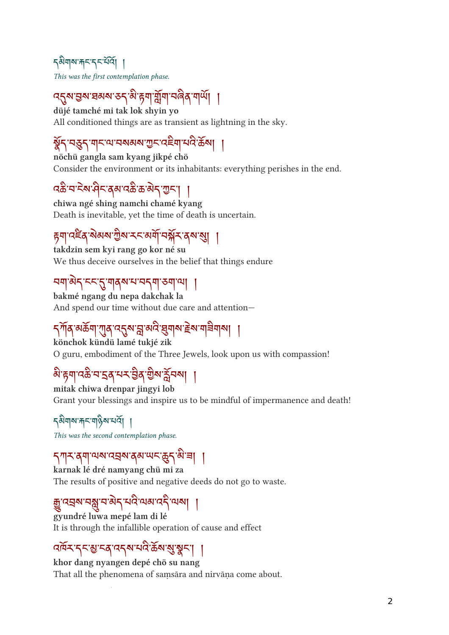#### <sub>ন</sub>৯মাৰ সামসকল বি This was the first contemplation phase.

 $\mathcal{A}$ ର ଅବସେ ତ $\mathcal{A}$ ବା ନ୍ୟା ଥିଏ। ଏବବ ଏ $\mathcal{A}$ ା ।

düjé tamché mi tak lok shyin yo All conditioned things are as transient as lightning in the sky.

## ོ ད་བད་གང་ལ་བསམས་ང་འག་པ་ས། །

nöchü gangla sam kyang jikpé chö Consider the environment or its inhabitants: everything perishes in the end.

## $\alpha$ கិ'ন'मेश' $\alpha$ ेदबा $\alpha$ के'क'बे $\gamma$ 'गुम $\gamma$

chiwa ngé shing namchi chamé kyang Death is inevitable, yet the time of death is uncertain.

## <u>६॥ उ</u>ह्वे अवद्य ग्रेथ २२ वर्षा त्रसेन वेब औ ।

takdzin sem kyi rang go kor né su We thus deceive ourselves in the belief that things endure

### བག་ད་ངང་་གནས་པ་བདག་ཅག་ལ། །

bakmé ngang du nepa dakchak la And spend our time without due care and attention—

## <u>১,।।२ अक्स, तीव्र स्टैल भें बार बैत्नाबाइल गोत्रुगोत्र ।</u>

könchok kündü lamé tukjé zik O guru, embodiment of the Three Jewels, look upon us with compassion!

## ล हेन उप तार बे जर बे बैल पैनले | |

mitak chiwa drenpar jingyi lob Grant your blessings and inspire us to be mindful of impermanence and death!

### དགས་ང་གས་པའོ། །

This was the second contemplation phase.

### དཀར་ནག་ལས་འས་ནམ་ཡང་ད་་ཟ། །

karnak lé dré namyang chü mi za The results of positive and negative deeds do not go to waste.

# क्नु पत्रयानश्लु न अर्द पात्र पात्र का

gyundré luwa mepé lam di lé It is through the infallible operation of cause and effect

### বর্মিমান্মান্ত্রামান্ত্রিমান্ত্রাস্থ্রমা ।

khor dang nyangen depé chö su nang That all the phenomena of samsāra and nirvāna come about.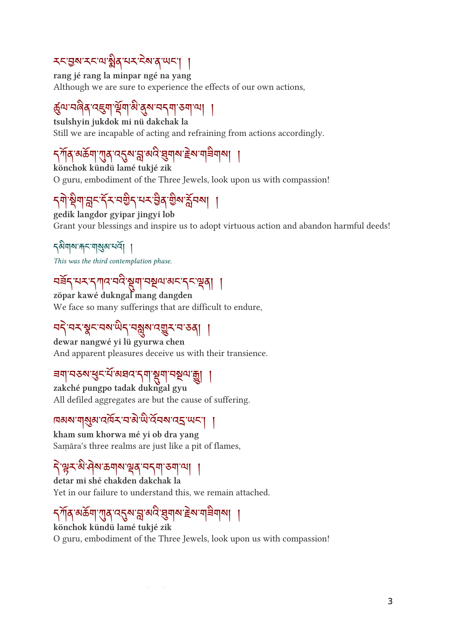## <u>ՀՀลีข*าวยู่* ที่ 31</u>0 กา*รย* ยู่ *แ*บ | |

rang jé rang la minpar ngé na yang Although we are sure to experience the effects of our own actions,

## कुष्पायलेले पहुँचा सूचा व लुबायन्मा ठ्या प्या ।

tsulshyin jukdok mi nü dakchak la Still we are incapable of acting and refraining from actions accordingly.

## १ १० १७ व्यक्तवा राजि १२१९ से २१४ ईर्मन इन ग्रन्था थी ।

könchok kündü lamé tukjé zik O guru, embodiment of the Three Jewels, look upon us with compassion!

# <u>১৯৯৯ (১৯৯২) ১৯৯৯ (১৯৯৯) |</u>

gedik langdor gyipar jingyi lob Grant your blessings and inspire us to adopt virtuous action and abandon harmful deeds!

<u> </u>কীমাম'দান'মামুন'মেন।

This was the third contemplation phase.

## བཟ ོ ད་པར་དཀའ་བ་ག་བལ་མང་དང་ན། །

zöpar kawé dukngal mang dangden We face so many sufferings that are difficult to endure,

## ঘই'বম'ষ্ণুম'বম্মুখ'ব্য বুম'ব'ত্ত্ব| ।

dewar nangwé yi lü gyurwa chen And apparent pleasures deceive us with their transience.

## ㅋ॥ ㅋㅎ੧ રૂઽ ㅋ མਖ਼ਲ਼ ১៕ २॥ १३॥ २२ ॥ ॥

zakché pungpo tadak dukngal gyu All defiled aggregates are but the cause of suffering.

## $\frac{1}{2}$ ାର୍ଷ ମାର୍ଥ ନାରୀ ବାର୍ଯ୍ୟ କରି କରି ।

kham sum khorwa mé yi ob dra yang Saṃāra's three realms are just like a pit of flames,

## <u>ঀ৾ড়ৼড়৻ড়৻ড়৸ড়৸ড়ঀ৻ড়৸</u>৸

detar mi shé chakden dakchak la Yet in our failure to understand this, we remain attached.

## १ १० १७ व्यक्तवा राजि १२१९ से २१४ ईर्मन इन ग्रन्था थी ।

könchok kündü lamé tukjé zik O guru, embodiment of the Three Jewels, look upon us with compassion!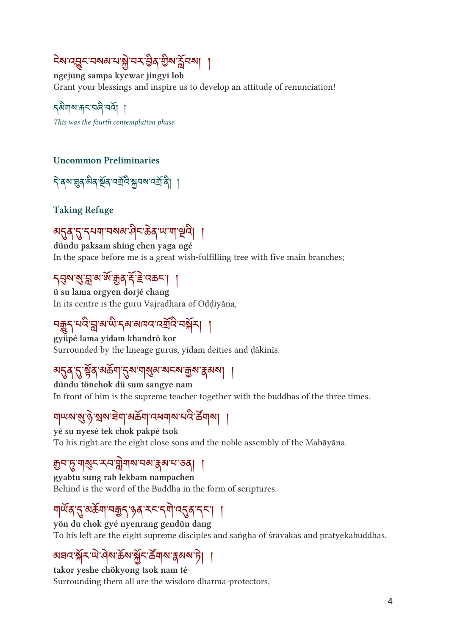## २९ उस्ट्रेन २९९ २१ हो २२ वर्ष हो २० थे २१ हो

ngejung sampa kyewar jingyi lob Grant your blessings and inspire us to develop an attitude of renunciation!

<u></u> รุ<sup>ลม</sup>ุจะพรานด์ จัด This was the fourth contemplation phase.

#### Uncommon Preliminaries

বিশ্বৰ নীত মুৰ্ত্ত নৰ্য্য ক্ষমৰ বৰ্ষৰী ।

Taking Refuge

अॸॖॣॺॱॸॖॖॱॸॶॺऻॱॺॺॵऀड़ॱऄॺॱॴॷड़ dündu paksam shing chen yaga ngé

In the space before me is a great wish-fulfilling tree with five main branches;

### $\frac{1}{3}$   $\frac{2}{3}$   $\frac{3}{4}$   $\frac{2}{3}$   $\frac{3}{4}$   $\frac{3}{4}$   $\frac{3}{4}$   $\frac{3}{4}$   $\frac{3}{4}$   $\frac{4}{5}$   $\frac{5}{4}$   $\frac{2}{5}$   $\frac{1}{4}$   $\frac{1}{4}$

ü su lama orgyen dorjé chang In its centre is the guru Vajradhara of Oḍḍiyāna,

## नकी नार भू ल ल रेल लानार उन्नार नक्षेत्र । ।

gyüpé lama yidam khandrö kor Surrounded by the lineage gurus, yidam deities and ḍākinīs.

### अर्29 2 डेर्व अकर्ता 22 जनिर्देश राज्य केला । ।

dündu tönchok dü sum sangye nam In front of him is the supreme teacher together with the buddhas of the three times.

## ୩୦୬ ଥି ୬ ଅବ ସମ୍ବାଦକ୍ୟା ଓ ବ୍ୟାବ ନାଟ ବ୍ୟାବା ||

yé su nyesé tek chok pakpé tsok To his right are the eight close sons and the noble assembly of the Mahāyāna.

### ग्रेज़ालैन्द्र का प्राणीय तथा प्रेलाना २० | 1

gyabtu sung rab lekbam nampachen Behind is the word of the Buddha in the form of scriptures.

### નીलवे 2 अकर्ता नकी हेवे ५२.२नी दुर्घव २२। ।

yön du chok gyé nyenrang gendün dang To his left are the eight supreme disciples and saṅgha of śrāvakas and pratyekabuddhas.

## <u>୶ଽ୲ଽୡୗ୵୷୷୶୶ଡ଼୶ୡୖ୵ଡ଼୶ୗ୶ୢୣଽ୶୶ୖ୲ୗ</u>

takor yeshe chökyong tsok nam té Surrounding them all are the wisdom dharma-protectors,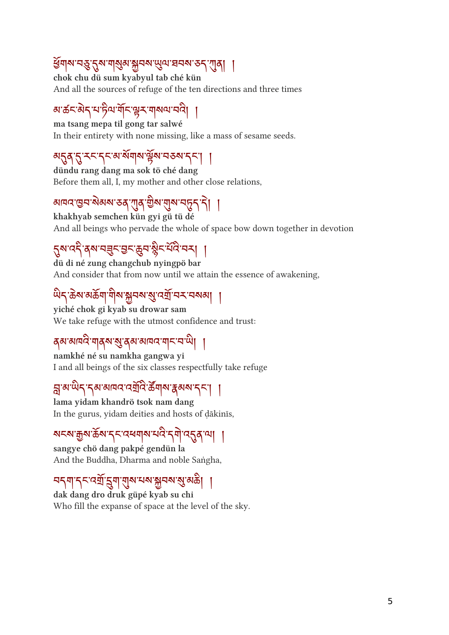### ଞ୍ୟାନ୍ୟ ବର୍ଷ ପୁନ୍ଧ ସାକ୍ଷିବ <del>କ୍ଷି</del>ମନ୍ଦ୍ର ଜ୍ୟୁମ ସମନ୍ଦ ତମ୍ମ (ଜ୍ୟୁମ୍ବ । ।

chok chu dü sum kyabyul tab ché kün And all the sources of refuge of the ten directions and three times

### <u>য়৾৾৳ৼ৾ড়ৢৼ৸ড়ৢ৸৸ড়৸ৼ৻৸৸৸৸</u>

ma tsang mepa til gong tar salwé In their entirety with none missing, like a mass of sesame seeds.

## མན་་རང་དང་མ་ས ོ གས་ ོ ས་བཅས་དང་། །

dündu rang dang ma sok tö ché dang Before them all, I, my mother and other close relations,

## आवद खन सबस रुव गुब गुरु गुरु नर्न । ।

khakhyab semchen kün gyi gü tü dé And all beings who pervade the whole of space bow down together in devotion

## २२ उ वे बात डेन्सिक्स क्षेत्र नार नते |

dü di né zung changchub nyingpö bar And consider that from now until we attain the essence of awakening,

## ୴ๅ๛๛๛๛๚๛฿๛๛๎๛๛๛๛๛๛๛๛๛๛

yiché chok gi kyab su drowar sam We take refuge with the utmost confidence and trust:

### <mark>ढ़</mark>ॺॱॺ¤<sup>৻द</sup>ॱॻ|ढ़ॺॱॺॖॱढ़ॺॱॺॺॎय़ॱॻ∣<ॱॺॱ<sup>ऒ</sup>ॎ

namkhé né su namkha gangwa yi I and all beings of the six classes respectfully take refuge

## न्ध्र लाग्ने २१ बागार उग्राह कर्नाल पेला ।

lama yidam khandrö tsok nam dang In the gurus, yidam deities and hosts of ḍākinīs,

## ষহম'ক্কুম'ৰ্ক্ৰম'ৰ্দ্*ম্প্ৰ*ম্পম'মন্ত্ৰ'ৰ্মী'ন্ত্ৰ্ৰ'মা |

sangye chö dang pakpé gendün la And the Buddha, Dharma and noble Saṅgha,

## <u>ا | امام پی محمد کامل ایکی ایک کر</u> ایر این

dak dang dro druk güpé kyab su chi Who fill the expanse of space at the level of the sky.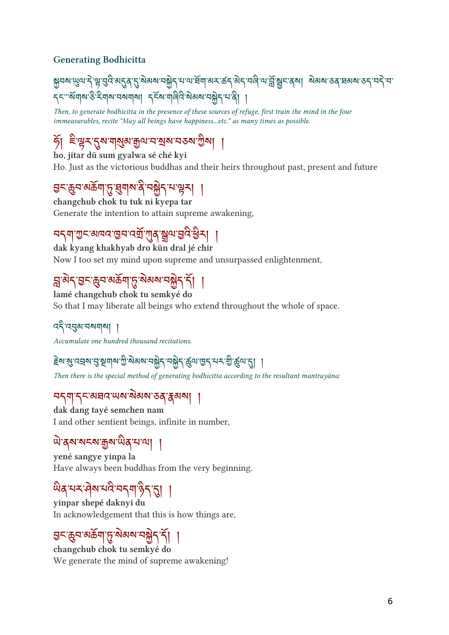#### Generating Bodhicitta

<u>য়</u>ৣনঝ་୴ৢ৻৸་རེ་ལུ་བུའི་མདུན་ད་སེམས་བསྐྱེད་པ་ལ་སོག་མར་கོད་མེད་བଵི་ལ་བྱོ་སྱུང་ནས། སེམས་ུན་ঘམས་ུད་བརེ་བ་ รุ<"अँगबाउँदेगबानबागा हिंदा गविदे बेबबान मेर पान्ने। ।

Then, to generate bodhicitta in the presence of these sources of refuge, first train the mind in the four immeasurables, recite "May all beings have happiness...etc." as many times as possible.

# ୬। ଽଞ୍ଜିନ୍ୟିକ୍ୟାଷ୍ଟ୍ରିଷ୍ଟିସ୍ନାମ୍ବର୍ଷା ଉଚ୍ଚଷ୍ଟ୍ରା ।

ho, jitar dü sum gyalwa sé ché kyi Ho. Just as the victorious buddhas and their heirs throughout past, present and future

## त्रेन अकर्ता मैं इताल वे नश्चेने न प्रेन्। ।

changchub chok tu tuk ni kyepa tar Generate the intention to attain supreme awakening,

## བདག་ང་མཁའ་བ་འ ོ་ན་ལ་་ ི ར། །

dak kyang khakhyab dro kün dral jé chir Now I too set my mind upon supreme and unsurpassed enlightenment,

## $\mathfrak{F}_{\mathcal{A}}$   $\mathfrak{F}_{\mathcal{A}}$   $\mathfrak{F}_{\mathcal{A}}$  and  $\mathfrak{F}_{\mathcal{A}}$   $\mathfrak{F}_{\mathcal{A}}$   $\mathfrak{H}_{\mathcal{A}}$   $\mathfrak{H}_{\mathcal{A}}$   $\mathfrak{H}_{\mathcal{A}}$

lamé changchub chok tu semkyé do So that I may liberate all beings who extend throughout the whole of space.

### বহ্ী ব্র্মুন্স বর্ষযাৰা

Accumulate one hundred thousand recitations.

### ह्बा शुद्धमय से ऊँगील जी जलल नसैरी नसैरी कीन तिरी नर्न न की कीन थी |

Then there is the special method of generating bodhicitta according to the resultant mantrayāna:

### བདག་དང་མཐའ་ཡས་མས་ཅན་མས། །

dak dang tayé semchen nam I and other sentient beings, infinite in number,

### <u>ୖ</u> ୴<sub>ୖ</sub>୶ଌ୲ଌ୲୴ଌ୲୰ଌ୲୴

yené sangye yinpa la Have always been buddhas from the very beginning.

## ན་པར་ས་པ་བདག་ད་། །

yinpar shepé daknyi du In acknowledgement that this is how things are,

### <u>ละต้องตองไว้ ตดตาล์มีปู ||</u>

changchub chok tu semkyé do We generate the mind of supreme awakening!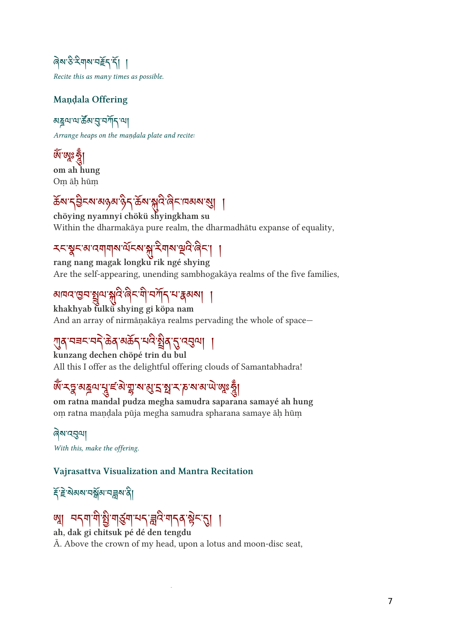ดิส ซิ มิ มิ มา มิ สุส ซิ Recite this as many times as possible.

#### Maṇḍala Offering

<u>য়য়৸৻৸৽ৼৣ৽৸ড়৸ৼ</u> Arrange heaps on the maṇḍala plate and recite:

<u>બ બૂ</u>ક જ્ઞુ om ah hung Oṃ āḥ hūṃ

## क्ष्य १३८९ अछुवा छन् क्षेत्र अस्ति बनायव्यव्या ।

chöying nyamnyi chökü shyingkham su Within the dharmakāya pure realm, the dharmadhātu expanse of equality,

## २८३८अप्तमामान्यास्य अन्नमान स्वत्रात् । ।

rang nang magak longku rik ngé shying Are the self-appearing, unending sambhogakāya realms of the five families,

### <u>য়ঢ়৻ৼড়৳ৼৗ</u>৻৸ৼৼঢ়৻৸৻৸৸ৼ৻ড়৸

khakhyab tulkü shying gi köpa nam And an array of nirmāṇakāya realms pervading the whole of space—

## $\mathcal{A}$ ଼ $\mathcal{A}$ ା ମୁକ୍ତ ବାର୍ଯ୍ୟ କରି ମୁନ୍ଦ $\mathcal{A}$ ନ୍ମା |

kunzang dechen chöpé trin du bul All this I offer as the delightful offering clouds of Samantabhadra!

## ต 13 จารน รู้ = จารู่ จา อิ 5 มี 1 ค จา จา ผู้ รู้ |

om ratna mandal pudza megha samudra saparana samayé ah hung oṃ ratna maṇḍala pūja megha samudra spharana samaye āḥ hūṃ

ৰেম'ন্ন্ন্নমা With this, make the offering.

#### Vajrasattva Visualization and Mantra Recitation

ৼ৴ৼিষ্টৰ্যমগ্ৰহী

# খ । মন্য শগু শগুম মন ব্ৰ'নমানৰ স্কুন গ্ৰ ।

ah, dak gi chitsuk pé dé den tengdu Ā. Above the crown of my head, upon a lotus and moon-disc seat,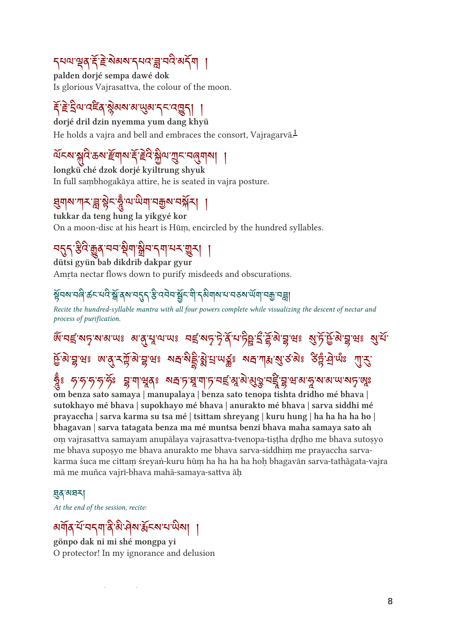## ११७१२८ हैं २००१ २२८ में २८ २२॥ १

palden dorjé sempa dawé dok Is glorious Vajrasattva, the colour of the moon.

## 5 ธัตราช 3 มีขอ สุขาว 3 มี 1

dorjé dril dzin nyemma yum dang khyü He holds a vajra and bell and embraces the consort, Vajragarvā.<sup>[1](#ref1)</sup>

## ୱର୍ଷ କ୍ଷିପ କର୍ଥ କ୍ୟାବା କ୍*ର*ାଣ ଅନ୍ୟ ସିଖି ।

longkü ché dzok dorjé kyiltrung shyuk In full saṃbhogakāya attire, he is seated in vajra posture.

## इमार्ग गारे नै हैर ईल लग तकेल तथन ।

tukkar da teng hung la yikgyé kor On a moon-disc at his heart is Hūṃ, encircled by the hundred syllables.

## नदी कुल बीज जन केन सेन रना नन जैन |

dütsi gyün bab dikdrib dakpar gyur

Amrta nectar flows down to purify misdeeds and obscurations.

### ३५९ मार् कर मार ञ्च वैन नर्ने २ उनन ञ्चैर गौ र्वनील न नरुल लग नये नर्थे।

Recite the hundred-syllable mantra with all four powers complete while visualizing the descent of nectar and process of purification.

ༀ་བ་ས་ས་མ་ཡ༔ མ་་་ལ་ཡ༔ བ་ས་ ེ་ན ོ་པ་་ ྀ་་་བྷ་ཝ༔ ་ཏ ོ་¡ ོ་་བྷ་ཝ༔ ་པ ོ་ द्विवास लाल रहे जाने जाने को सालके जाने जोश से २०% को साल शी*री* ྂ ༔ ཧ་ཧ་ཧ་ཧ་ཧ ོ ཿ བྷ་ག་ན༔ ས་ཏ་་ག་ཏ་བ་་་་བི་བྷ་ཝ་མ་་ས་མ་ཡ་ས་ཿ

om benza sato samaya | manupalaya | benza sato tenopa tishta dridho mé bhava | sutokhayo mé bhava | supokhayo mé bhava | anurakto mé bhava | sarva siddhi mé prayaccha | sarva karma su tsa mé | tsittam shreyang | kuru hung | ha ha ha ha ho | bhagavan | sarva tatagata benza ma mé muntsa benzi bhava maha samaya sato ah om vajrasattva samayam anupālaya vajrasattva-tvenopa-tisṭ ha dṛḍho me bhava sutosyo me bhava suposỵ o me bhava anurakto me bhava sarva-siddhiṃ me prayaccha sarvakarma śuca me cittam śreyaṅ-kuru hūm ha ha ha ha hoh bhagavān sarva-tathāgata-vajra mā me muñca vajrī-bhava mahā-samaya-sattva āḥ

#### য়ৢঽ৻য়৸

At the end of the session, recite:

## <u>ayla y yylla a ha ny soy y mal</u>

gönpo dak ni mi shé mongpa yi O protector! In my ignorance and delusion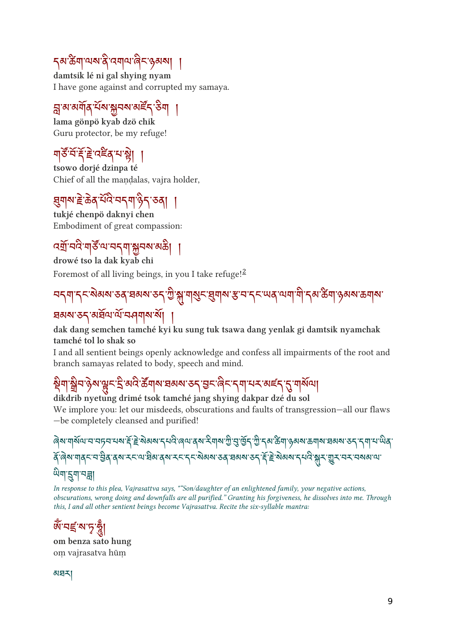## <u></u> รุส'கेँग'ལས་ནི་འགལ་ནིང་ཕུམས། ଼।

damtsik lé ni gal shying nyam I have gone against and corrupted my samaya.

## ମିବାବାଗଡ଼ି ମଧ୍ୟ ଅଧିବା କରି ବାର୍ଯ୍

lama gönpö kyab dzö chik Guru protector, be my refuge!

## ୩୦२६६९६९२ है। ।

tsowo dorjé dzinpa té Chief of all the mandalas, vajra holder,

## $\mathcal{A}$ યશ્ચ હળવારાન્યના છેર્ને રુર્વે | |

tukjé chenpö daknyi chen Embodiment of great compassion:

## उब्रान्नदानेलाली अन्य अर्थ |

drowé tso la dak kyab chi Foremost of all living beings, in you I take refuge!<sup>[2](#ref2)</sup>

## བདག་དང་མས་ཅན་ཐམས་ཅད་ ི་་གང་གས་་བ་དང་ཡན་ལག་་དམ་ག་ཉམས་ཆགས་

## ଅବାୟ ୧୯ ବାସିଏ ଏ ମାର୍କାର ଡା |

#### dak dang semchen tamché kyi ku sung tuk tsawa dang yenlak gi damtsik nyamchak tamché tol lo shak so

I and all sentient beings openly acknowledge and confess all impairments of the root and branch samayas related to body, speech and mind.

# $\frac{1}{2}$ ର୍ମା ଖିମ ନିର୍ମାଣିତ ମୁକ୍ଷ ବାରି ବାରି ସ୍କାର ସରାକ୍ଷ ଚ $\frac{1}{2}$ ର୍ମାଣ୍ଟ ମୁକ୍ଷ ମୁକ୍ଷ ମାରାମ $\frac{1}{2}$

#### dikdrib nyetung drimé tsok tamché jang shying dakpar dzé du sol

We implore you: let our misdeeds, obscurations and faults of transgression—all our flaws —be completely cleansed and purified!

ས་གསོལ་བ་བཏབ་པས་ོ་ེ་མས་དཔ་ཞལ་ནས་གས་ ི་་ོད་ ི་དམ་ག་ཉམས་ཆགས་ཐམས་ཅད་དག་པ་ན་ १. बेल जीवेर त त्र वे बेल पर जा त्रवा वे बार रहे गैर अवाद्य २वे त्रवाद्य २ रे हे छावाद्य रता आप की र ती राज तथा ज <u>উমামুমানল্লী</u>

In response to this plea, Vajrasattva says, ""Son/daughter of an enlightened family, your negative actions, obscurations, wrong doing and downfalls are all purified." Granting his forgiveness, he dissolves into me. Through this, I and all other sentient beings become Vajrasattva. Recite the six-syllable mantra:

# ตาราช 23

om benza sato hung oṃ vajrasatva hūṃ

མཐར།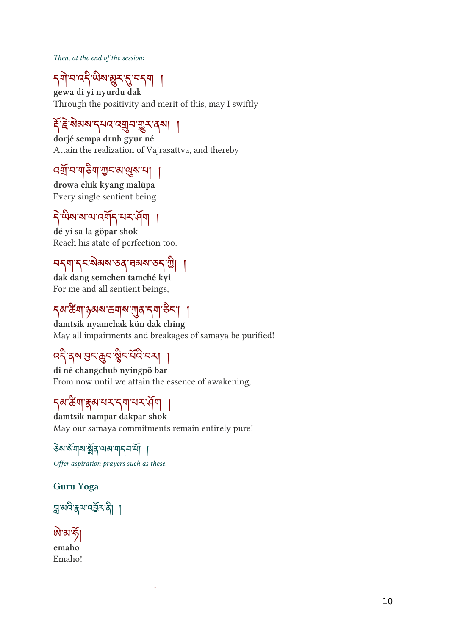Then, at the end of the session:

# <u>July 32 metal (2 771 |</u>

gewa di yi nyurdu dak Through the positivity and merit of this, may I swiftly

## इं रूका सेनार उनीन जी रहे पेला ।

dorjé sempa drub gyur né Attain the realization of Vajrasattva, and thereby

## २९ २ गुरुग १५ व एक २ |

drowa chik kyang malüpa Every single sentient being

## า พลลนาสๆๆ จรจุ๚ |

dé yi sa la göpar shok Reach his state of perfection too.

## བདག་དང་མས་ཅན་ཐམས་ཅད་ི། །

dak dang semchen tamché kyi For me and all sentient beings,

## ๅฺ๙๛๚๛๛๚๛๚๛๚๛ๅ

damtsik nyamchak kün dak ching May all impairments and breakages of samaya be purified!

## ব্দী ব্রুষভূদজুনাম্বী নকা ।

di né changchub nyingpö bar From now until we attain the essence of awakening,

### <u><sub>ร</sub>ส'ซัต</u> अब्बाह्य राज्य स्थान

damtsik nampar dakpar shok May our samaya commitments remain entirely pure!

### উম'ৰ্মমাম'ৰ্মুৰ'মৰামানবাৰ্মা

Offer aspiration prayers such as these.

#### Guru Yoga



#### <u>জি'ৰা'ৰ্কা</u> emaho

Emaho!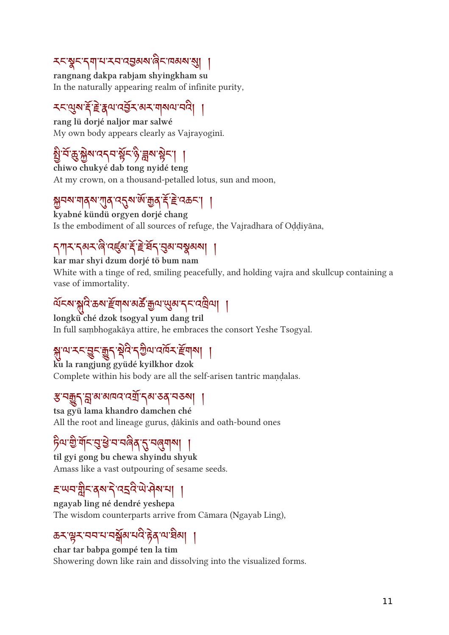### <u>རང་སྱང་དག་པ་རབ་འབྱ</u>མས་ୡིང་দམས་སུ། ୢ

rangnang dakpa rabjam shyingkham su In the naturally appearing realm of infinite purity,

## 75 ซึ่ง 5 ธุลัน เรลิว ดว ปุลเข ค.ศ. 1

rang lü dorjé naljor mar salwé My own body appears clearly as Vajrayoginī.

# ञ्चै ५ के भ्रैल पर्ने न हैर है <u>थे बैल हैर</u>। ।

chiwo chukyé dab tong nyidé teng At my crown, on a thousand-petalled lotus, sun and moon,

## བས་གནས་ན་འས་་ན་ ོ་ ེ་འཆང་། །

kyabné kündü orgyen dorjé chang Is the embodiment of all sources of refuge, the Vajradhara of Oḍḍiyāna,

## <u>Jily Jay id isea et e al garagan|</u> |

kar mar shyi dzum dorjé tö bum nam White with a tinge of red, smiling peacefully, and holding vajra and skullcup containing a vase of immortality.

## $\mathcal{A}$ ର କ୍ଷିଣ ବତା କ୍ୟାବା ବାର ଦ୍ରିୟା ଜିବା ମି $\mathcal{A}$  ମନ୍ୟାମ $\mathcal{A}$

longkü ché dzok tsogyal yum dang tril In full saṃbhogakāya attire, he embraces the consort Yeshe Tsogyal.

## से प्त नर्न डैर बैरी क्षेत्र रजित लागन हुनाका ।

ku la rangjung gyüdé kyilkhor dzok Complete within his body are all the self-arisen tantric mandalas.

### <u>रु नर्ग्रि</u> से ब्राज्ञात पत्ना रेब्र २० जनकर्ण ।

tsa gyü lama khandro damchen ché All the root and lineage gurus, ḍākinīs and oath-bound ones

## $\beta$ u a n $\sim$ a a n ndd 2 nddol |

til gyi gong bu chewa shyindu shyuk Amass like a vast outpouring of sesame seeds.

## Ewalth gard 323 magazil 1

ngayab ling né dendré yeshepa The wisdom counterparts arrive from Cāmara (Ngayab Ling),

## ཆར་ར་བབ་པ་བ ོ མ་པ་ ེ ན་ལ་མ། །

char tar babpa gompé ten la tim Showering down like rain and dissolving into the visualized forms.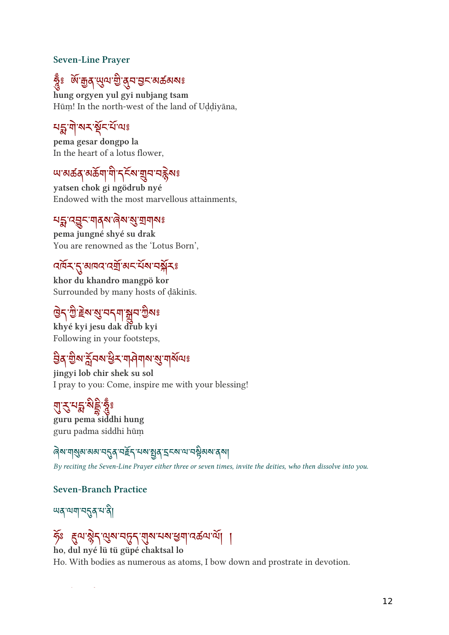#### Seven-Line Prayer

# g ตั้งอื่นที่สำคัญสาระดาตุดอร

hung orgyen yul gyi nubjang tsam Hūṃ! In the north-west of the land of Uḍḍiyāna,

## หลัง ๆ พร ชุรมนะ

pema gesar dongpo la In the heart of a lotus flower,

## অ'ঝক্রপত্রমা'মা'ৰ্সক্ষ শ্রুম'নক্কুমঃ

yatsen chok gi ngödrub nyé Endowed with the most marvellous attainments,

### মহ্ন'ব্ছুন'মাৰ্ম'ৰ্ৰিম'ম্ভ্ৰ'য়ামাৰুঃ

pema jungné shyé su drak You are renowned as the 'Lotus Born',

## <u>alay gentles is allowed and the</u>

khor du khandro mangpö kor Surrounded by many hosts of ḍākinīs.

## ُ جَمَعَ اللّٰہِ إِلَيْهِمْ إِلَيْهِمْ مَا اللّٰہِ إِلَيْهِمْ مَا إِلَيْهِمْ فَلاَ يَجْر

khyé kyi jesu dak drub kyi Following in your footsteps,

## <u>ଶିର୍ଦ୍ଧିକା ଅିମର୍ ସିମ୍ବାନାମାର ମ୍ପିଗାରାଣ୍ଡ</u>

jingyi lob chir shek su sol I pray to you: Come, inspire me with your blessing!

## री २ १३ १३ १३

guru pema siddhi hung guru padma siddhi hūṃ

### $\frac{1}{\sqrt{3}}$ ା ଜିବା ବାରୀ ମଧିବ ମାଇଁ ଧିର୍ଯ୍ୟ ଅବସ୍ଥା ।

By reciting the Seven-Line Prayer either three or seven times, invite the deities, who then dissolve into you.

#### Seven-Branch Practice

<u></u><br>พลุ <sub>ั</sub>ณฑฺ ¤ุรุสฺ ฺ¤ สิ

### ཧ ོ ཿ ལ་ ེ ད་ས་བད་ས་པས་ག་འཚལ་ལ ོ ། །

ho, dul nyé lü tü güpé chaktsal lo

Ho. With bodies as numerous as atoms, I bow down and prostrate in devotion.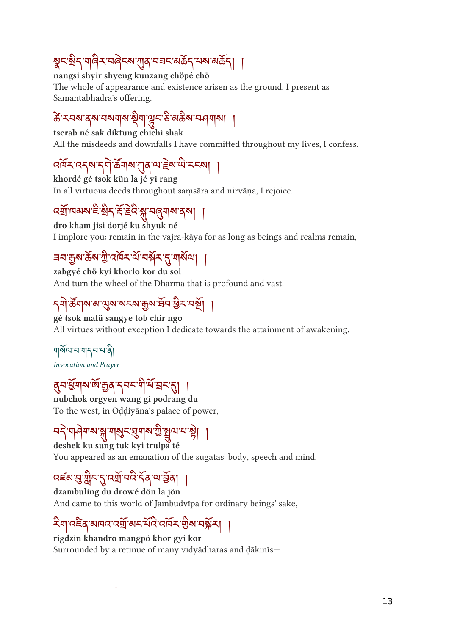# $\frac{1}{3}$ h  $\frac{1}{3}$ h  $\frac{1}{3}$ h  $\frac{1}{3}$ h  $\frac{1}{3}$ h  $\frac{1}{3}$ h  $\frac{1}{3}$ h  $\frac{1}{3}$ h  $\frac{1}{3}$ h  $\frac{1}{3}$

nangsi shyir shyeng kunzang chöpé chö The whole of appearance and existence arisen as the ground, I present as Samantabhadra's offering.

# क रूत्रल वैद्य तक्षतील ईता किर २ अक्स तमानीला |

tserab né sak diktung chichi shak All the misdeeds and downfalls I have committed throughout my lives, I confess.

# $\mathcal{A}$ י א $\mathcal{A}$ ן א $\mathcal{A}$ ן א $\mathcal{A}$ ן א $\mathcal{A}$ ן א $\mathcal{A}$ ן א $\mathcal{A}$ ן א

khordé gé tsok kün la jé yi rang In all virtuous deeds throughout saṃsāra and nirvāṇa, I rejoice.

## $\mathcal{C}$ ସ୍କାଧବାର କରା କରା । ବିଜୀବାର ଜଣା ।

dro kham jisi dorjé ku shyuk né I implore you: remain in the vajra-kāya for as long as beings and realms remain,

## <u>ี<sub>ฺ</sub>ี รุบ ติพฺ ตุพฺ ฏฺ เช่เช่ ทฺ ทฺ ฟฺ ทฺ ทฺ ทฺ ทฺ ทฺ ทฺ ทฺ ทฺ ท</u>

zabgyé chö kyi khorlo kor du sol And turn the wheel of the Dharma that is profound and vast.

# <u>২<sub>খ</sub> কৰ্মৰ পৰ্টৰ পৰ্টৰ পৰ্টৰ প্ৰত্ন দ</u>িব ।

gé tsok malü sangye tob chir ngo All virtues without exception I dedicate towards the attainment of awakening.

<u>ঘার্ম্মাম'ম'ম'মারী</u> Invocation and Prayer

## र्वेन बैनील ल ग्रैवे रेनर ने ब नर थे। ।

nubchok orgyen wang gi podrang du To the west, in Oḍḍiyāna's palace of power,

# པད 새ᠰ씨ས སྐུ་ 씨ུ་ རུ་མུ་ ལ ་ རྲུ་ པ་ རُ་ ། ་ །

deshek ku sung tuk kyi trulpa té You appeared as an emanation of the sugatas' body, speech and mind,

## उह्य ने प्रेर देउन नदरवान की ।

dzambuling du drowé dön la jön And came to this world of Jambudvīpa for ordinary beings' sake,

# २॥ उद्दु बागर उस बर पर उपन राज नक्षे | ।

rigdzin khandro mangpö khor gyi kor Surrounded by a retinue of many vidyādharas and ḍākinīs—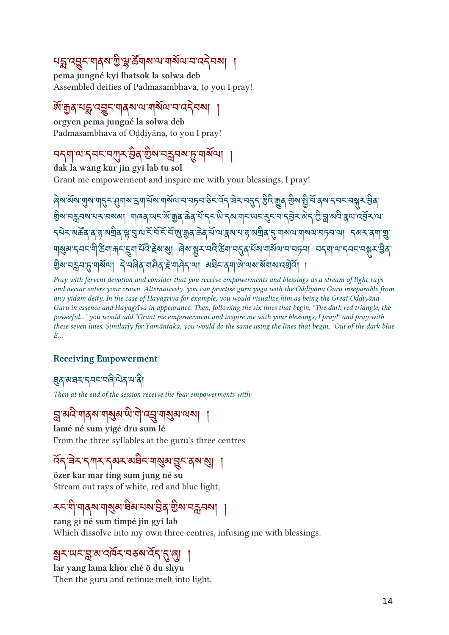## པ་འང་གནས་ ི་་ཚོ གས་ལ་གས ོ ལ་བ་འབས། །

pema jungné kyi lhatsok la solwa deb Assembled deities of Padmasambhava, to you I pray!

#### ་ན་པ་འང་གནས་ལ་གས ོ ལ་བ་འབས། ། orgyen pema jungné la solwa deb

Padmasambhava of Oḍḍiyāna, to you I pray!

# ละโตเที่ ยาง สมาร์ตู้ ลิต สรีสนา ในอุสม

dak la wang kur jin gyi lab tu sol Grant me empowerment and inspire me with your blessings, I pray!

In the set of the set of the set of the set of the set of the set of the set of the set of the set of the set of the set of the set of the set of the set of the set of the set of the set of the set of the set of the set ลิต ศรีสตร์ สุขาร์ลิต - ปเสียง สะด. มิต ตุล ส. ป. ส. ปุ ส. ป. ส. รี ส. ส. รี ส. จ. รี ส. รี ส. รี ส. รี ส. <u>รารัตตต์ () ยัดสป เริร์เกรรเรา ติมิตีตต์ รบบปลุด ๆ ยัดสป (วิ ปอเกมปอเกมคุณเริ่ม - ) จุดรุ (ป]</u> الله جهاز المساحي المستقرر المراحين المستقرر المستقرر المعادي المستقرر المستقرر المستقرر المستقرر المستقرر الم  $\mathbb S$ ର ମଧିମ $\beta$  ଏକିଆଁ । ମୁନାର୍ ଏକିଆଁ । ମୁନାର୍ କାର୍ଯ୍ୟ କାର୍ଯ୍ୟ କାର୍ଯ୍ୟ । ମୁନାର୍ ସେଥିଲା ।

Pray with fervent devotion and consider that you receive empowerments and blessings as a stream of light-rays and nectar enters your crown. Alternatively, you can practise guru yoga with the Oḍḍiyāna Guru inseparable from any yidam deity. In the case of Hayagrīva for example, you would visualize him as being the Great Oḍḍiyāna Guru in essence and Hayagrīva in appearance. Then, following the six lines that begin, "The dark red triangle, the powerful..." you would add "Grant me empowerment and inspire me with your blessings, I pray!" and pray with these seven lines. Similarly for Yamāntaka, you would do the same using the lines that begin, "Out of the dark blue É…

#### Receiving Empowerment

### ্ষ্ণস্বসম্বনম্বিষ্ণি মান্ত্ৰী

Then at the end of the session receive the four empowerments with:

### ন্ন'ঝবি'শাব্ৰম'শাৰ্ম্ভৰ'<sup>যৌ</sup>'ন্মু'শাৰ্ম্ভৰ'ম্মৰা ।

lamé né sum yigé dru sum lé From the three syllables at the guru's three centres

## $\frac{1}{2}$   $\frac{1}{2}$   $\frac{1}{2}$   $\frac{1}{2}$   $\frac{1}{2}$   $\frac{1}{2}$   $\frac{1}{2}$   $\frac{1}{2}$   $\frac{1}{2}$   $\frac{1}{2}$   $\frac{1}{2}$   $\frac{1}{2}$   $\frac{1}{2}$   $\frac{1}{2}$   $\frac{1}{2}$   $\frac{1}{2}$

özer kar mar ting sum jung né su Stream out rays of white, red and blue light,

## २८ गा गोवेल गोर्खेल झल नव्य तेर्वे ज्ञेन नर्थे । ।

rang gi né sum timpé jin gyi lab Which dissolve into my own three centres, infusing me with blessings.

### ར་ཡང་་མ་འར་བཅས་འ ོ ད་་། །

lar yang lama khor ché ö du shyu Then the guru and retinue melt into light,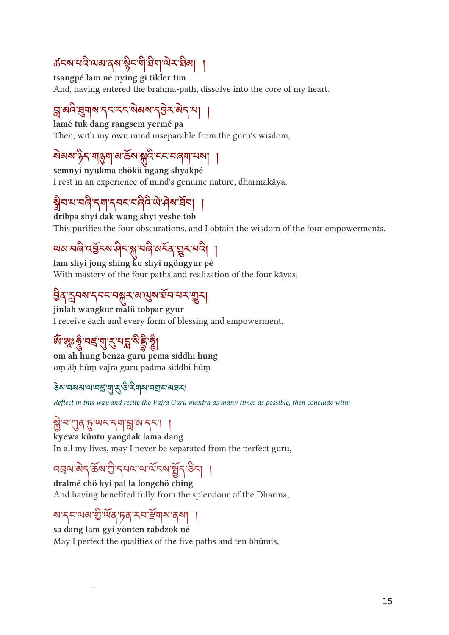## ཚངས་པ་ལམ་ནས་ ི ང་་ག་ར་མ། །

tsangpé lam né nying gi tikler tim And, having entered the brahma-path, dissolve into the core of my heart.

## $\beta$  and  $\beta$  and  $\gamma$  and  $\gamma$  and  $\gamma$  and  $\gamma$  and  $\gamma$

lamé tuk dang rangsem yermé pa Then, with my own mind inseparable from the guru's wisdom,

# <u>য়য়য়ড়ৢঢ়৻৸ঀ</u>৻য়৸ৼ৸ড়৸ৼ৻ড়৸ৼ৻৸৸৸

semnyi nyukma chökü ngang shyakpé I rest in an experience of mind's genuine nature, dharmakāya.

## स्रित न नर्बर नगरिनर नर्बर लामक नन् ।

dribpa shyi dak wang shyi yeshe tob This purifies the four obscurations, and I obtain the wisdom of the four empowerments.

## ๓๛๚๛๚๛๚๛๚๛๛๛๛๛๛๛

lam shyi jong shing ku shyi ngöngyur pé With mastery of the four paths and realization of the four kāyas,

## ३० ३५० २५८ ५१५ व्युख घरायन युन्।

jinlab wangkur malü tobpar gyur I receive each and every form of blessing and empowerment.

## ต ตะรู บริ ปู วิ บุมิ ขุริ 3 |

om ah hung benza guru pema siddhi hung oṃ āḥ hūṃ vajra guru padma siddhi hūṃ

#### <u>ঽয়ৼ৸য়য়৸৻৸ৼৗৼ৾৻ঀৢৼ৻ড়ৢ৻ৼৢ৻৻৸</u>

Reflect in this way and recite the Vajra Guru mantra as many times as possible, then conclude with:

### ེ་བ་ན་་ཡང་དག་་མ་དང་། །

kyewa küntu yangdak lama dang In all my lives, may I never be separated from the perfect guru,

## $\mathcal{L}$ ୍ਰੈਜ਼ ਅਤੇ ਅਤੀ ਹੈ ਨਿਆ ਅਤੇ ਕਿਸੇ ਕਿਸੇ ਵਿੱਚ ਪ੍ਰੀ

dralmé chö kyi pal la longchö ching And having benefited fully from the splendour of the Dharma,

## สร้างจะติดต่อสุข ราธาช ดูล |

sa dang lam gyi yönten rabdzok né May I perfect the qualities of the five paths and ten bhūmis,